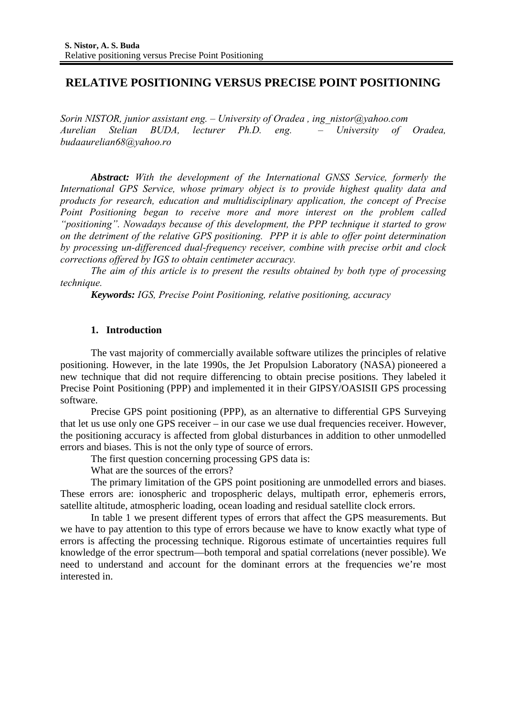# **RELATIVE POSITIONING VERSUS PRECISE POINT POSITIONING**

*Sorin NISTOR, junior assistant eng. – University of Oradea , ing\_nistor@yahoo.com Aurelian Stelian BUDA, lecturer Ph.D. eng. – University of Oradea, budaaurelian68@yahoo.ro* 

*Abstract: With the development of the International GNSS Service, formerly the International GPS Service, whose primary object is to provide highest quality data and products for research, education and multidisciplinary application, the concept of Precise Point Positioning began to receive more and more interest on the problem called "positioning". Nowadays because of this development, the PPP technique it started to grow on the detriment of the relative GPS positioning. PPP it is able to offer point determination by processing un-differenced dual-frequency receiver, combine with precise orbit and clock corrections offered by IGS to obtain centimeter accuracy.* 

 *The aim of this article is to present the results obtained by both type of processing technique.* 

*Keywords: IGS, Precise Point Positioning, relative positioning, accuracy* 

### **1. Introduction**

The vast majority of commercially available software utilizes the principles of relative positioning. However, in the late 1990s, the Jet Propulsion Laboratory (NASA) pioneered a new technique that did not require differencing to obtain precise positions. They labeled it Precise Point Positioning (PPP) and implemented it in their GIPSY/OASISII GPS processing software.

Precise GPS point positioning (PPP), as an alternative to differential GPS Surveying that let us use only one GPS receiver – in our case we use dual frequencies receiver. However, the positioning accuracy is affected from global disturbances in addition to other unmodelled errors and biases. This is not the only type of source of errors.

The first question concerning processing GPS data is:

What are the sources of the errors?

The primary limitation of the GPS point positioning are unmodelled errors and biases. These errors are: ionospheric and tropospheric delays, multipath error, ephemeris errors, satellite altitude, atmospheric loading, ocean loading and residual satellite clock errors.

In table 1 we present different types of errors that affect the GPS measurements. But we have to pay attention to this type of errors because we have to know exactly what type of errors is affecting the processing technique. Rigorous estimate of uncertainties requires full knowledge of the error spectrum—both temporal and spatial correlations (never possible). We need to understand and account for the dominant errors at the frequencies we're most interested in.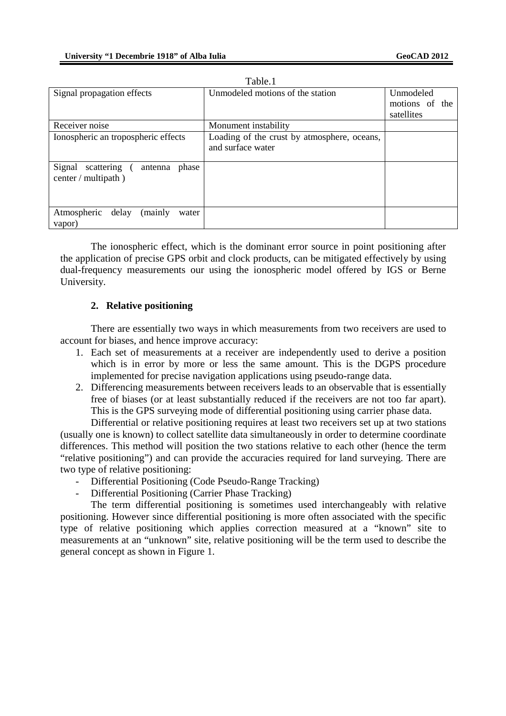| 1 avit. 1                                 |                                             |                |  |  |
|-------------------------------------------|---------------------------------------------|----------------|--|--|
| Signal propagation effects                | Unmodeled motions of the station            | Unmodeled      |  |  |
|                                           |                                             | motions of the |  |  |
|                                           |                                             | satellites     |  |  |
| Receiver noise                            | Monument instability                        |                |  |  |
| Ionospheric an tropospheric effects       | Loading of the crust by atmosphere, oceans, |                |  |  |
|                                           | and surface water                           |                |  |  |
|                                           |                                             |                |  |  |
| Signal<br>scattering<br>antenna<br>phase  |                                             |                |  |  |
| center / multipath )                      |                                             |                |  |  |
|                                           |                                             |                |  |  |
|                                           |                                             |                |  |  |
| (mainly)<br>Atmospheric<br>delay<br>water |                                             |                |  |  |
| vapor)                                    |                                             |                |  |  |

Table.1

The ionospheric effect, which is the dominant error source in point positioning after the application of precise GPS orbit and clock products, can be mitigated effectively by using dual-frequency measurements our using the ionospheric model offered by IGS or Berne University.

#### **2. Relative positioning**

There are essentially two ways in which measurements from two receivers are used to account for biases, and hence improve accuracy:

- 1. Each set of measurements at a receiver are independently used to derive a position which is in error by more or less the same amount. This is the DGPS procedure implemented for precise navigation applications using pseudo-range data.
- 2. Differencing measurements between receivers leads to an observable that is essentially free of biases (or at least substantially reduced if the receivers are not too far apart). This is the GPS surveying mode of differential positioning using carrier phase data.

Differential or relative positioning requires at least two receivers set up at two stations (usually one is known) to collect satellite data simultaneously in order to determine coordinate differences. This method will position the two stations relative to each other (hence the term "relative positioning") and can provide the accuracies required for land surveying. There are two type of relative positioning:

- Differential Positioning (Code Pseudo-Range Tracking)
- Differential Positioning (Carrier Phase Tracking)

The term differential positioning is sometimes used interchangeably with relative positioning. However since differential positioning is more often associated with the specific type of relative positioning which applies correction measured at a "known" site to measurements at an "unknown" site, relative positioning will be the term used to describe the general concept as shown in Figure 1.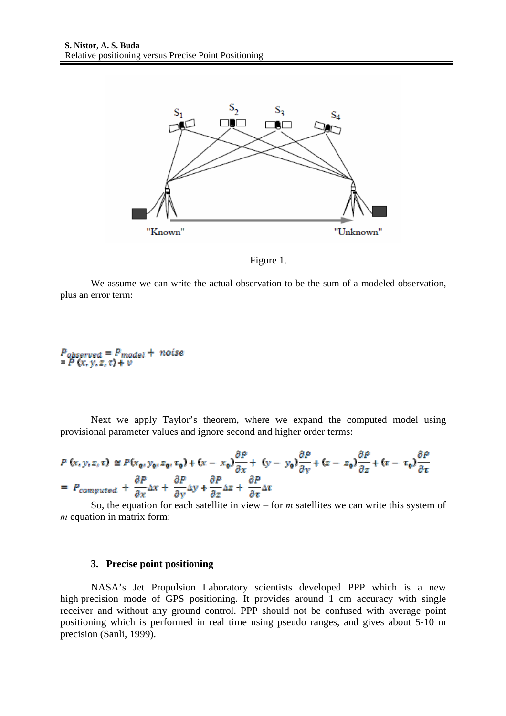

Figure 1.

We assume we can write the actual observation to be the sum of a modeled observation, plus an error term:

# $\begin{array}{l} P_{observed}=P_{model}+ \: noise \\ = P \: (x,y,z,t) + v \end{array}$

Next we apply Taylor's theorem, where we expand the computed model using provisional parameter values and ignore second and higher order terms:

$$
P(x, y, z, \tau) \cong P(x_0, y_0, z_0, \tau_0) + (x - x_0) \frac{\partial P}{\partial x} + (y - y_0) \frac{\partial P}{\partial y} + (z - z_0) \frac{\partial P}{\partial z} + (r - \tau_0) \frac{\partial P}{\partial \tau}
$$
  
=  $P_{computed} + \frac{\partial P}{\partial x} \Delta x + \frac{\partial P}{\partial y} \Delta y + \frac{\partial P}{\partial z} \Delta z + \frac{\partial P}{\partial \tau} \Delta \tau$ 

So, the equation for each satellite in view – for *m* satellites we can write this system of *m* equation in matrix form:

#### **3. Precise point positioning**

NASA's Jet Propulsion Laboratory scientists developed PPP which is a new high precision mode of GPS positioning. It provides around 1 cm accuracy with single receiver and without any ground control. PPP should not be confused with average point positioning which is performed in real time using pseudo ranges, and gives about 5-10 m precision (Sanli, 1999).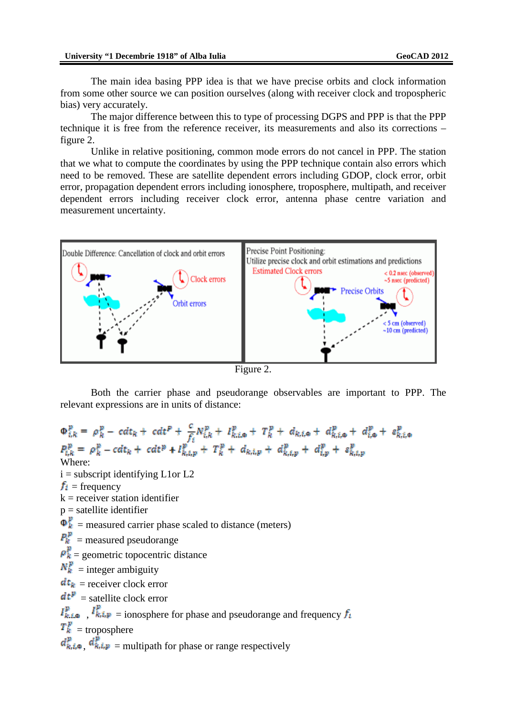The main idea basing PPP idea is that we have precise orbits and clock information from some other source we can position ourselves (along with receiver clock and tropospheric bias) very accurately.

The major difference between this to type of processing DGPS and PPP is that the PPP technique it is free from the reference receiver, its measurements and also its corrections – figure 2.

Unlike in relative positioning, common mode errors do not cancel in PPP. The station that we what to compute the coordinates by using the PPP technique contain also errors which need to be removed. These are satellite dependent errors including GDOP, clock error, orbit error, propagation dependent errors including ionosphere, troposphere, multipath, and receiver dependent errors including receiver clock error, antenna phase centre variation and measurement uncertainty.



Figure 2.

Both the carrier phase and pseudorange observables are important to PPP. The relevant expressions are in units of distance:

```
\Phi_{i,k}^p = \rho_k^p - c dt_k + c dt^p + \frac{c}{f_i} N_{i,k}^p + I_{k,i,\Phi}^p + T_k^p + d_{k,i,\Phi} + d_{k,i,\Phi}^p + d_{i,\Phi}^p + s_{k,i,\Phi}^pP_{i,k}^p = \rho_k^p - c dt_k + c dt^p + P_{k,i,p}^p + T_k^p + d_{k,i,p} + d_{k,i,p}^p + d_{i,p}^p + s_{k,i,p}^p<br>Where:
i = subscript identifying L1or L2
f_i = frequency
k = receiver station identifier
p = satellite identifier
\Phi_{k}^{p} = measured carrier phase scaled to distance (meters)
P_k^p = measured pseudorange
\rho_k^{\mathbf{p}} = geometric topocentric distance
N_k^p = integer ambiguity
dt_k = receiver clock error
dt^{p} = satellite clock error
I_{k,i,\phi}^p, I_{k,i,\phi}^p = ionosphere for phase and pseudorange and frequency f_iT_k^p = troposphere
d_{k,i,\phi}^{\mathbf{p}}, d_{k,i,\phi}^{\mathbf{p}} = multipath for phase or range respectively
```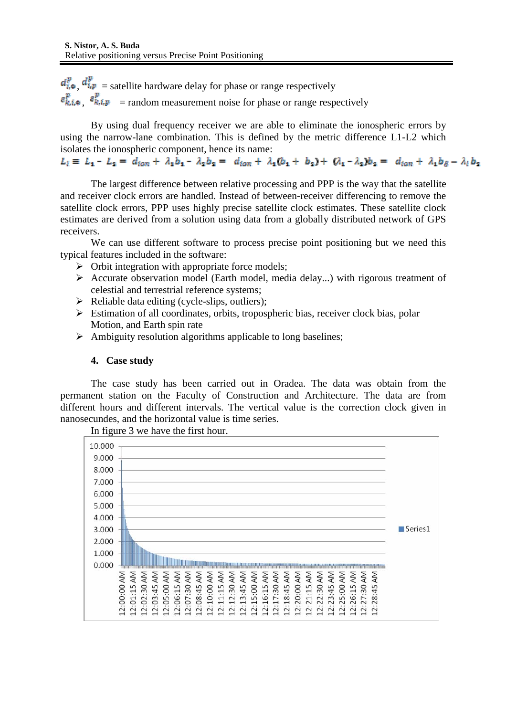$d_{i,\Phi}^{\mathbf{p}}$ ,  $d_{i,\Phi}^{\mathbf{p}}$  = satellite hardware delay for phase or range respectively  $\varepsilon_{k,i,\phi}^p$ ,  $\varepsilon_{k,i,p}^p$  = random measurement noise for phase or range respectively

By using dual frequency receiver we are able to eliminate the ionospheric errors by using the narrow-lane combination. This is defined by the metric difference L1-L2 which

isolates the ionospheric component, hence its name:<br>  $L_{\tilde{l}} = L_1 - L_2 = d_{ion} + \lambda_1 b_1 - \lambda_2 b_2 = d_{ion} + \lambda_1 (b_1 + b_2) + (\lambda_1 - \lambda_2) b_2 = d_{ion} + \lambda_1 b_{\delta} - \lambda_{\tilde{l}} b_2$ 

The largest difference between relative processing and PPP is the way that the satellite and receiver clock errors are handled. Instead of between-receiver differencing to remove the satellite clock errors, PPP uses highly precise satellite clock estimates. These satellite clock estimates are derived from a solution using data from a globally distributed network of GPS receivers.

We can use different software to process precise point positioning but we need this typical features included in the software:

- $\triangleright$  Orbit integration with appropriate force models;
- $\triangleright$  Accurate observation model (Earth model, media delay...) with rigorous treatment of celestial and terrestrial reference systems;
- $\triangleright$  Reliable data editing (cycle-slips, outliers);
- $\triangleright$  Estimation of all coordinates, orbits, tropospheric bias, receiver clock bias, polar Motion, and Earth spin rate
- $\triangleright$  Ambiguity resolution algorithms applicable to long baselines;

#### **4. Case study**

The case study has been carried out in Oradea. The data was obtain from the permanent station on the Faculty of Construction and Architecture. The data are from different hours and different intervals. The vertical value is the correction clock given in nanosecundes, and the horizontal value is time series.



In figure 3 we have the first hour.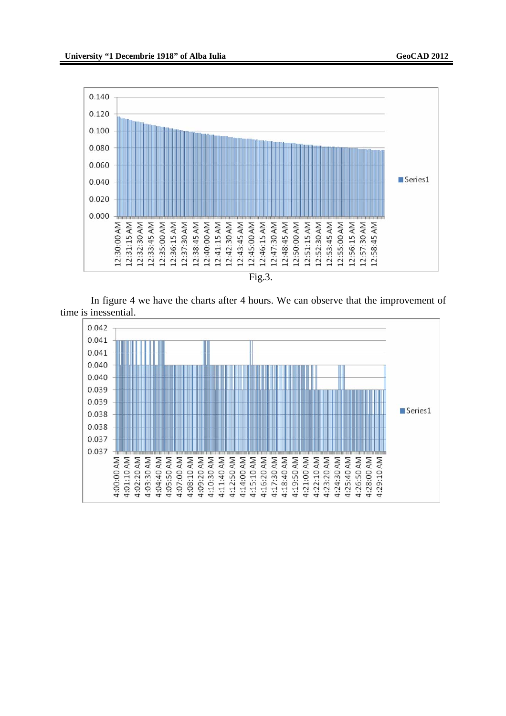

In figure 4 we have the charts after 4 hours. We can observe that the improvement of time is inessential.

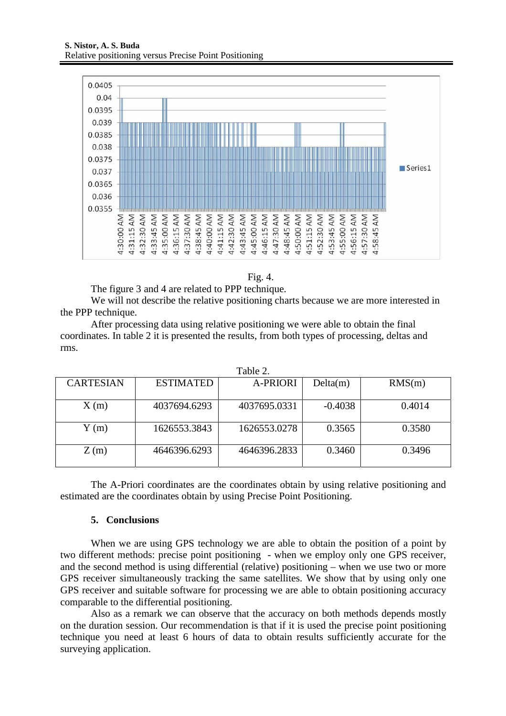

Fig. 4.

The figure 3 and 4 are related to PPP technique.

We will not describe the relative positioning charts because we are more interested in the PPP technique.

After processing data using relative positioning we were able to obtain the final coordinates. In table 2 it is presented the results, from both types of processing, deltas and rms.

|                  |                  | l'able 2.       |           |        |
|------------------|------------------|-----------------|-----------|--------|
| <b>CARTESIAN</b> | <b>ESTIMATED</b> | <b>A-PRIORI</b> | Delta(m)  | RMS(m) |
| X(m)             | 4037694.6293     | 4037695.0331    | $-0.4038$ | 0.4014 |
| Y(m)             | 1626553.3843     | 1626553.0278    | 0.3565    | 0.3580 |
| Z(m)             | 4646396.6293     | 4646396.2833    | 0.3460    | 0.3496 |

 $T-1.1.2$ 

The A-Priori coordinates are the coordinates obtain by using relative positioning and estimated are the coordinates obtain by using Precise Point Positioning.

#### **5. Conclusions**

When we are using GPS technology we are able to obtain the position of a point by two different methods: precise point positioning - when we employ only one GPS receiver, and the second method is using differential (relative) positioning – when we use two or more GPS receiver simultaneously tracking the same satellites. We show that by using only one GPS receiver and suitable software for processing we are able to obtain positioning accuracy comparable to the differential positioning.

Also as a remark we can observe that the accuracy on both methods depends mostly on the duration session. Our recommendation is that if it is used the precise point positioning technique you need at least 6 hours of data to obtain results sufficiently accurate for the surveying application.